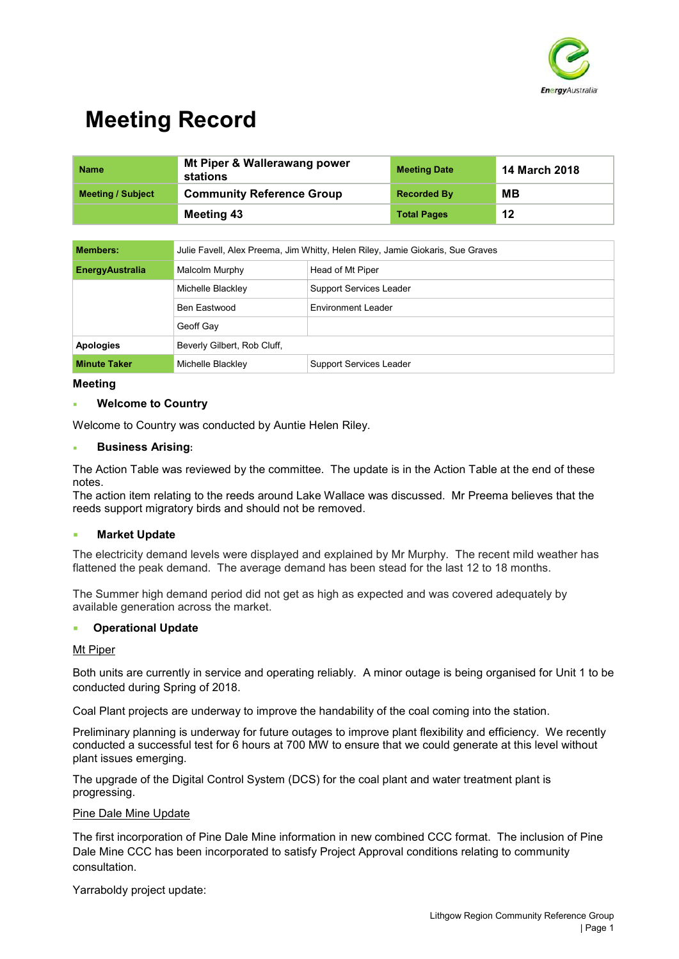

| <b>Name</b>              | Mt Piper & Wallerawang power<br>stations | <b>Meeting Date</b> | <b>14 March 2018</b> |
|--------------------------|------------------------------------------|---------------------|----------------------|
| <b>Meeting / Subject</b> | <b>Community Reference Group</b>         | <b>Recorded By</b>  | MВ                   |
|                          | Meeting 43                               | <b>Total Pages</b>  | 12                   |

| <b>Members:</b>        | Julie Favell, Alex Preema, Jim Whitty, Helen Riley, Jamie Giokaris, Sue Graves |                           |  |
|------------------------|--------------------------------------------------------------------------------|---------------------------|--|
| <b>EnergyAustralia</b> | Malcolm Murphy<br>Head of Mt Piper                                             |                           |  |
|                        | Michelle Blackley                                                              | Support Services Leader   |  |
|                        | Ben Eastwood                                                                   | <b>Environment Leader</b> |  |
|                        | Geoff Gay                                                                      |                           |  |
| <b>Apologies</b>       | Beverly Gilbert, Rob Cluff,                                                    |                           |  |
| <b>Minute Taker</b>    | Michelle Blackley                                                              | Support Services Leader   |  |

#### **Meeting**

### **Welcome to Country**

Welcome to Country was conducted by Auntie Helen Riley.

#### **Business Arising:**

The Action Table was reviewed by the committee. The update is in the Action Table at the end of these notes.

The action item relating to the reeds around Lake Wallace was discussed. Mr Preema believes that the reeds support migratory birds and should not be removed.

#### **Market Update**

The electricity demand levels were displayed and explained by Mr Murphy. The recent mild weather has flattened the peak demand. The average demand has been stead for the last 12 to 18 months.

The Summer high demand period did not get as high as expected and was covered adequately by available generation across the market.

#### **Operational Update**

#### Mt Piper

Both units are currently in service and operating reliably. A minor outage is being organised for Unit 1 to be conducted during Spring of 2018.

Coal Plant projects are underway to improve the handability of the coal coming into the station.

Preliminary planning is underway for future outages to improve plant flexibility and efficiency. We recently conducted a successful test for 6 hours at 700 MW to ensure that we could generate at this level without plant issues emerging.

The upgrade of the Digital Control System (DCS) for the coal plant and water treatment plant is progressing.

#### Pine Dale Mine Update

The first incorporation of Pine Dale Mine information in new combined CCC format. The inclusion of Pine Dale Mine CCC has been incorporated to satisfy Project Approval conditions relating to community consultation.

Yarraboldy project update: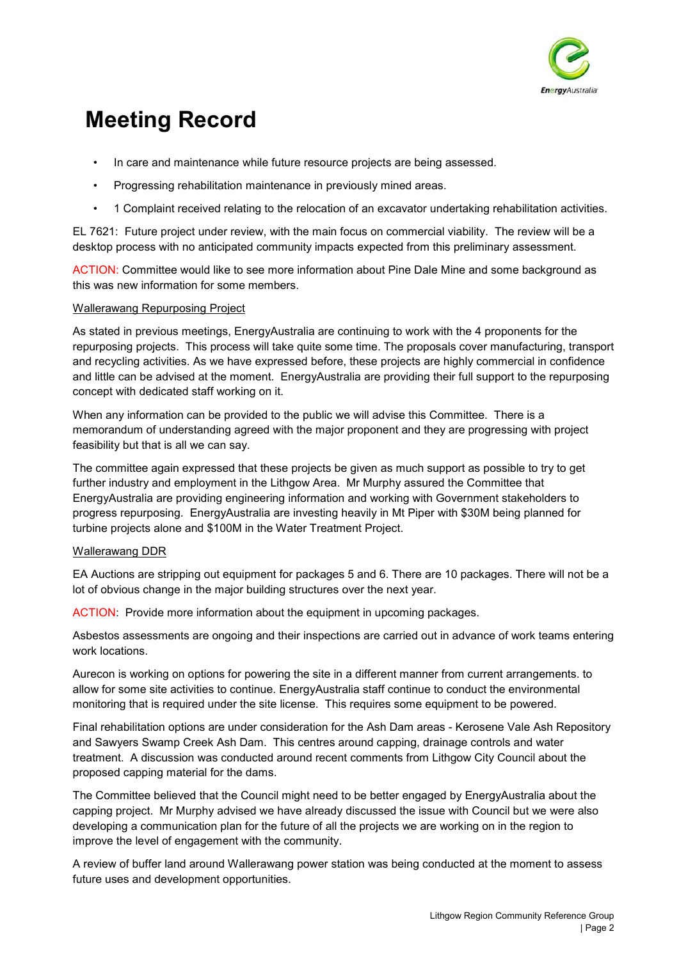

- In care and maintenance while future resource projects are being assessed.
- Progressing rehabilitation maintenance in previously mined areas.
- 1 Complaint received relating to the relocation of an excavator undertaking rehabilitation activities.

EL 7621: Future project under review, with the main focus on commercial viability. The review will be a desktop process with no anticipated community impacts expected from this preliminary assessment.

ACTION: Committee would like to see more information about Pine Dale Mine and some background as this was new information for some members.

### Wallerawang Repurposing Project

As stated in previous meetings, EnergyAustralia are continuing to work with the 4 proponents for the repurposing projects. This process will take quite some time. The proposals cover manufacturing, transport and recycling activities. As we have expressed before, these projects are highly commercial in confidence and little can be advised at the moment. EnergyAustralia are providing their full support to the repurposing concept with dedicated staff working on it.

When any information can be provided to the public we will advise this Committee. There is a memorandum of understanding agreed with the major proponent and they are progressing with project feasibility but that is all we can say.

The committee again expressed that these projects be given as much support as possible to try to get further industry and employment in the Lithgow Area. Mr Murphy assured the Committee that EnergyAustralia are providing engineering information and working with Government stakeholders to progress repurposing. EnergyAustralia are investing heavily in Mt Piper with \$30M being planned for turbine projects alone and \$100M in the Water Treatment Project.

## Wallerawang DDR

EA Auctions are stripping out equipment for packages 5 and 6. There are 10 packages. There will not be a lot of obvious change in the major building structures over the next year.

ACTION: Provide more information about the equipment in upcoming packages.

Asbestos assessments are ongoing and their inspections are carried out in advance of work teams entering work locations.

Aurecon is working on options for powering the site in a different manner from current arrangements. to allow for some site activities to continue. EnergyAustralia staff continue to conduct the environmental monitoring that is required under the site license. This requires some equipment to be powered.

Final rehabilitation options are under consideration for the Ash Dam areas - Kerosene Vale Ash Repository and Sawyers Swamp Creek Ash Dam. This centres around capping, drainage controls and water treatment. A discussion was conducted around recent comments from Lithgow City Council about the proposed capping material for the dams.

The Committee believed that the Council might need to be better engaged by EnergyAustralia about the capping project. Mr Murphy advised we have already discussed the issue with Council but we were also developing a communication plan for the future of all the projects we are working on in the region to improve the level of engagement with the community.

A review of buffer land around Wallerawang power station was being conducted at the moment to assess future uses and development opportunities.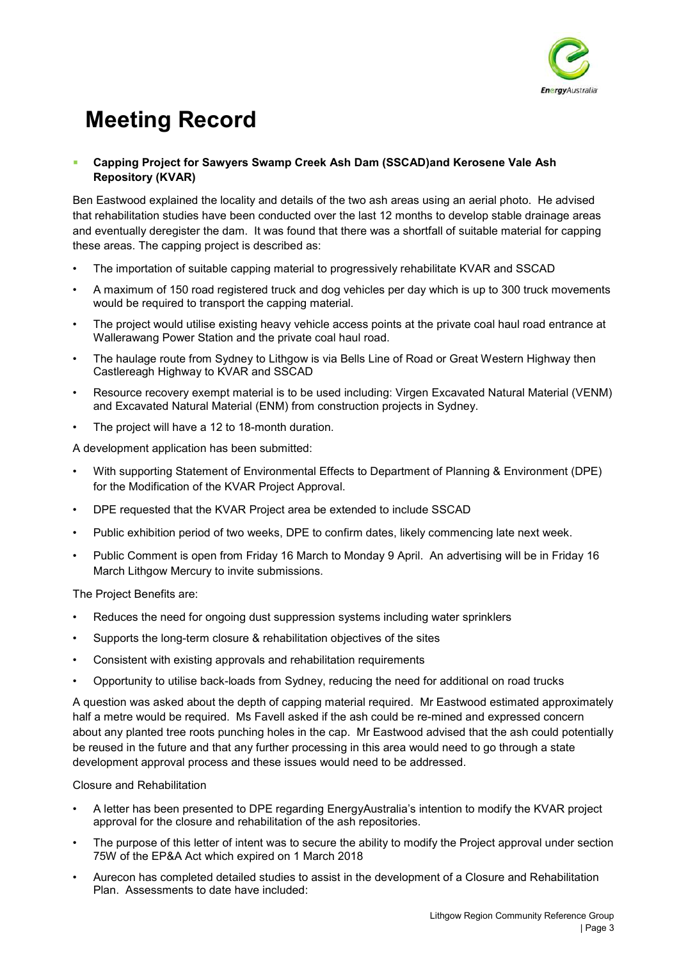

## **Capping Project for Sawyers Swamp Creek Ash Dam (SSCAD)and Kerosene Vale Ash Repository (KVAR)**

Ben Eastwood explained the locality and details of the two ash areas using an aerial photo. He advised that rehabilitation studies have been conducted over the last 12 months to develop stable drainage areas and eventually deregister the dam. It was found that there was a shortfall of suitable material for capping these areas. The capping project is described as:

- The importation of suitable capping material to progressively rehabilitate KVAR and SSCAD
- A maximum of 150 road registered truck and dog vehicles per day which is up to 300 truck movements would be required to transport the capping material.
- The project would utilise existing heavy vehicle access points at the private coal haul road entrance at Wallerawang Power Station and the private coal haul road.
- The haulage route from Sydney to Lithgow is via Bells Line of Road or Great Western Highway then Castlereagh Highway to KVAR and SSCAD
- Resource recovery exempt material is to be used including: Virgen Excavated Natural Material (VENM) and Excavated Natural Material (ENM) from construction projects in Sydney.
- The project will have a 12 to 18-month duration.

A development application has been submitted:

- With supporting Statement of Environmental Effects to Department of Planning & Environment (DPE) for the Modification of the KVAR Project Approval.
- DPE requested that the KVAR Project area be extended to include SSCAD
- Public exhibition period of two weeks, DPE to confirm dates, likely commencing late next week.
- Public Comment is open from Friday 16 March to Monday 9 April. An advertising will be in Friday 16 March Lithgow Mercury to invite submissions.

The Project Benefits are:

- Reduces the need for ongoing dust suppression systems including water sprinklers
- Supports the long-term closure & rehabilitation objectives of the sites
- Consistent with existing approvals and rehabilitation requirements
- Opportunity to utilise back-loads from Sydney, reducing the need for additional on road trucks

A question was asked about the depth of capping material required. Mr Eastwood estimated approximately half a metre would be required. Ms Favell asked if the ash could be re-mined and expressed concern about any planted tree roots punching holes in the cap. Mr Eastwood advised that the ash could potentially be reused in the future and that any further processing in this area would need to go through a state development approval process and these issues would need to be addressed.

Closure and Rehabilitation

- A letter has been presented to DPE regarding EnergyAustralia's intention to modify the KVAR project approval for the closure and rehabilitation of the ash repositories.
- The purpose of this letter of intent was to secure the ability to modify the Project approval under section 75W of the EP&A Act which expired on 1 March 2018
- Aurecon has completed detailed studies to assist in the development of a Closure and Rehabilitation Plan. Assessments to date have included: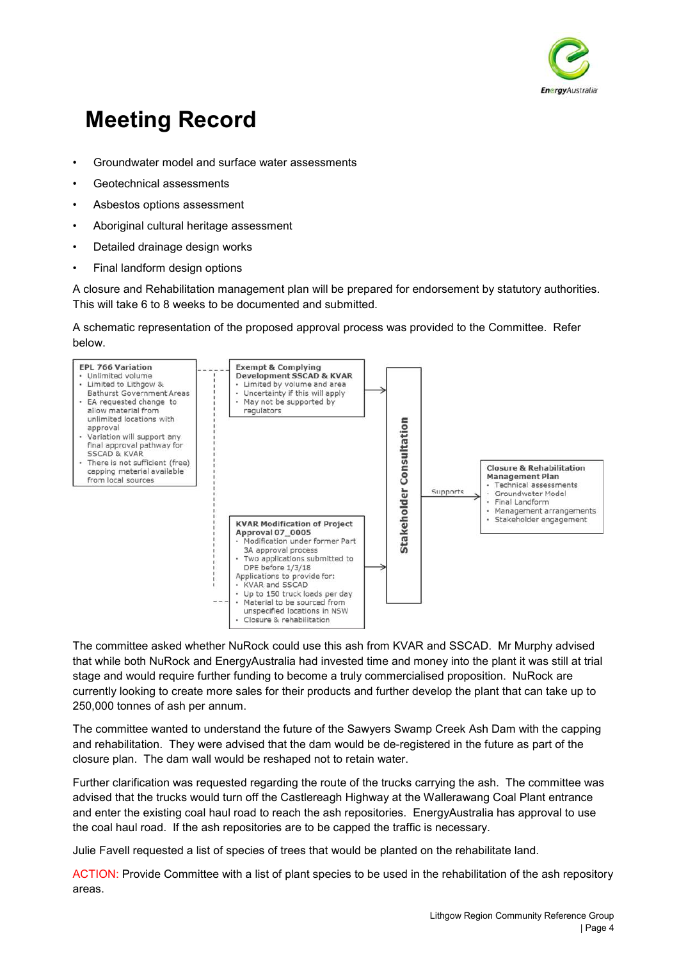

- Groundwater model and surface water assessments
- Geotechnical assessments
- Asbestos options assessment
- Aboriginal cultural heritage assessment
- Detailed drainage design works
- Final landform design options

A closure and Rehabilitation management plan will be prepared for endorsement by statutory authorities. This will take 6 to 8 weeks to be documented and submitted.

A schematic representation of the proposed approval process was provided to the Committee. Refer below.



The committee asked whether NuRock could use this ash from KVAR and SSCAD. Mr Murphy advised that while both NuRock and EnergyAustralia had invested time and money into the plant it was still at trial stage and would require further funding to become a truly commercialised proposition. NuRock are currently looking to create more sales for their products and further develop the plant that can take up to 250,000 tonnes of ash per annum.

The committee wanted to understand the future of the Sawyers Swamp Creek Ash Dam with the capping and rehabilitation. They were advised that the dam would be de-registered in the future as part of the closure plan. The dam wall would be reshaped not to retain water.

Further clarification was requested regarding the route of the trucks carrying the ash. The committee was advised that the trucks would turn off the Castlereagh Highway at the Wallerawang Coal Plant entrance and enter the existing coal haul road to reach the ash repositories. EnergyAustralia has approval to use the coal haul road. If the ash repositories are to be capped the traffic is necessary.

Julie Favell requested a list of species of trees that would be planted on the rehabilitate land.

ACTION: Provide Committee with a list of plant species to be used in the rehabilitation of the ash repository areas.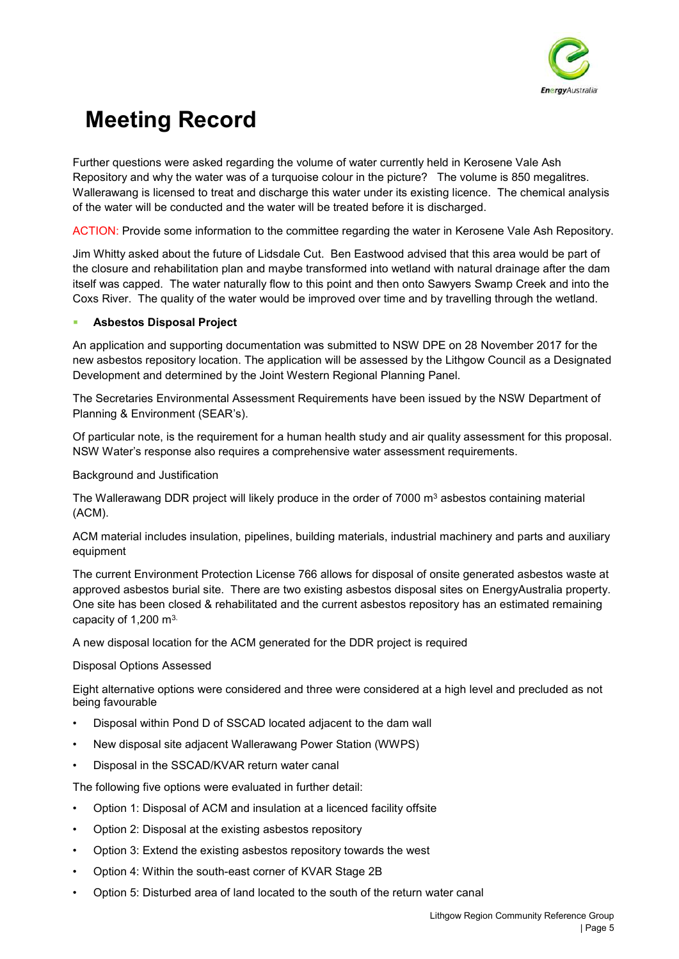

Further questions were asked regarding the volume of water currently held in Kerosene Vale Ash Repository and why the water was of a turquoise colour in the picture? The volume is 850 megalitres. Wallerawang is licensed to treat and discharge this water under its existing licence. The chemical analysis of the water will be conducted and the water will be treated before it is discharged.

ACTION: Provide some information to the committee regarding the water in Kerosene Vale Ash Repository.

Jim Whitty asked about the future of Lidsdale Cut. Ben Eastwood advised that this area would be part of the closure and rehabilitation plan and maybe transformed into wetland with natural drainage after the dam itself was capped. The water naturally flow to this point and then onto Sawyers Swamp Creek and into the Coxs River. The quality of the water would be improved over time and by travelling through the wetland.

### **Asbestos Disposal Project**

An application and supporting documentation was submitted to NSW DPE on 28 November 2017 for the new asbestos repository location. The application will be assessed by the Lithgow Council as a Designated Development and determined by the Joint Western Regional Planning Panel.

The Secretaries Environmental Assessment Requirements have been issued by the NSW Department of Planning & Environment (SEAR's).

Of particular note, is the requirement for a human health study and air quality assessment for this proposal. NSW Water's response also requires a comprehensive water assessment requirements.

Background and Justification

The Wallerawang DDR project will likely produce in the order of 7000 m<sup>3</sup> asbestos containing material (ACM).

ACM material includes insulation, pipelines, building materials, industrial machinery and parts and auxiliary equipment

The current Environment Protection License 766 allows for disposal of onsite generated asbestos waste at approved asbestos burial site. There are two existing asbestos disposal sites on EnergyAustralia property. One site has been closed & rehabilitated and the current asbestos repository has an estimated remaining capacity of 1,200 m3.

A new disposal location for the ACM generated for the DDR project is required

### Disposal Options Assessed

Eight alternative options were considered and three were considered at a high level and precluded as not being favourable

- Disposal within Pond D of SSCAD located adjacent to the dam wall
- New disposal site adjacent Wallerawang Power Station (WWPS)
- Disposal in the SSCAD/KVAR return water canal

The following five options were evaluated in further detail:

- Option 1: Disposal of ACM and insulation at a licenced facility offsite
- Option 2: Disposal at the existing asbestos repository
- Option 3: Extend the existing asbestos repository towards the west
- Option 4: Within the south-east corner of KVAR Stage 2B
- Option 5: Disturbed area of land located to the south of the return water canal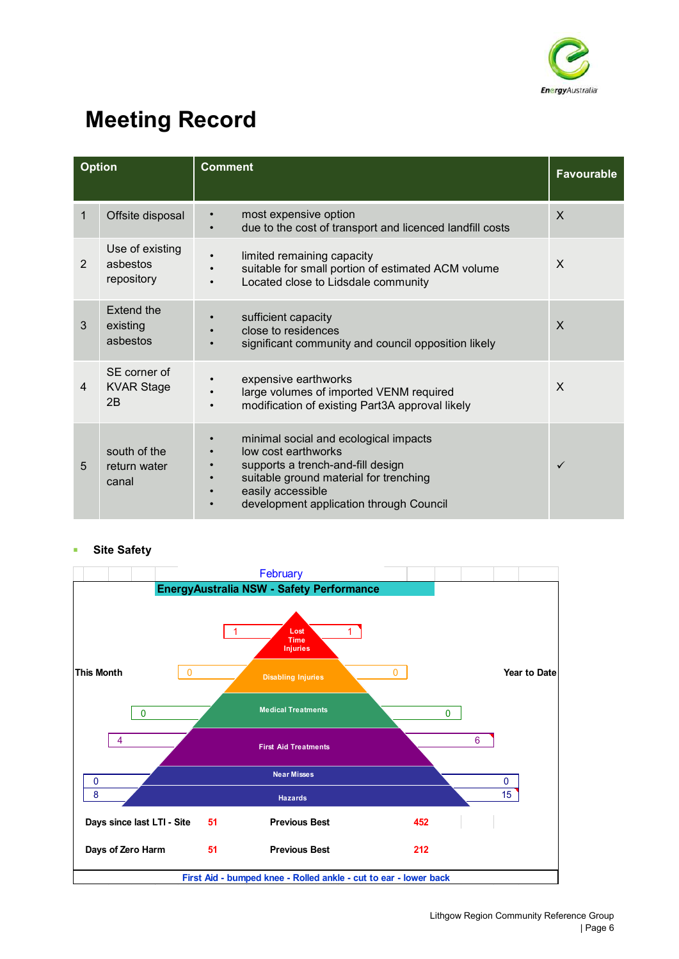

|   | <b>Option</b>                             | <b>Comment</b>                                                                                                                                                                                                           | <b>Favourable</b> |
|---|-------------------------------------------|--------------------------------------------------------------------------------------------------------------------------------------------------------------------------------------------------------------------------|-------------------|
| 1 | Offsite disposal                          | most expensive option<br>due to the cost of transport and licenced landfill costs                                                                                                                                        | $\mathsf{x}$      |
| 2 | Use of existing<br>ashestos<br>repository | limited remaining capacity<br>suitable for small portion of estimated ACM volume<br>Located close to Lidsdale community<br>$\bullet$                                                                                     | X                 |
| 3 | Extend the<br>existing<br>asbestos        | sufficient capacity<br>close to residences<br>significant community and council opposition likely                                                                                                                        | X                 |
| 4 | SE corner of<br><b>KVAR Stage</b><br>2B   | expensive earthworks<br>large volumes of imported VENM required<br>modification of existing Part3A approval likely                                                                                                       | X                 |
| 5 | south of the<br>return water<br>canal     | minimal social and ecological impacts<br>low cost earthworks<br>supports a trench-and-fill design<br>suitable ground material for trenching<br>easily accessible<br>$\bullet$<br>development application through Council | $\checkmark$      |

## **Site Safety**

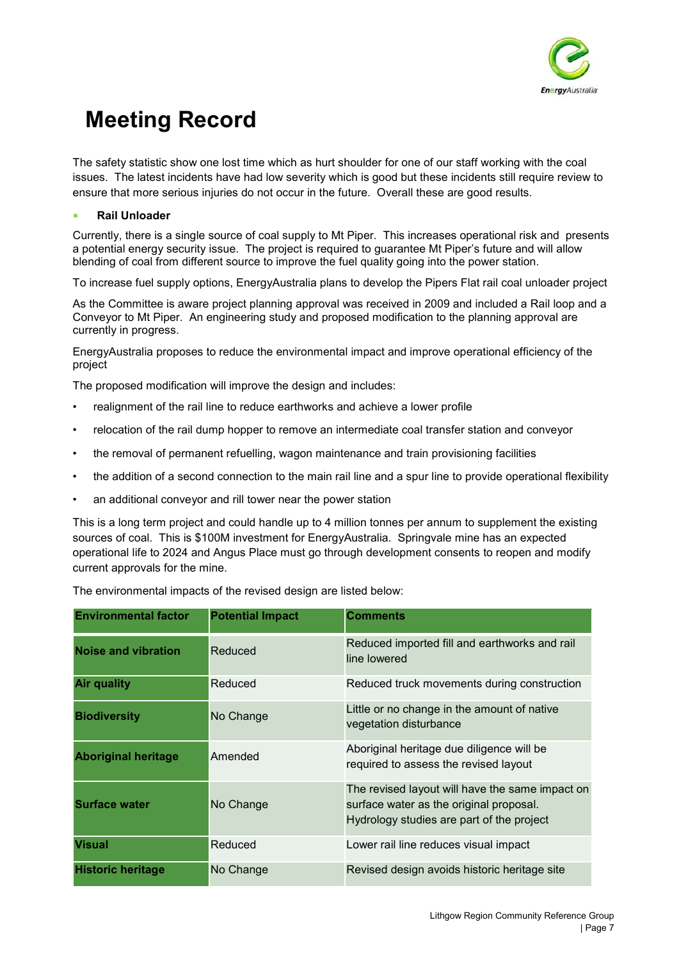

The safety statistic show one lost time which as hurt shoulder for one of our staff working with the coal issues. The latest incidents have had low severity which is good but these incidents still require review to ensure that more serious injuries do not occur in the future. Overall these are good results.

### **Rail Unloader**

Currently, there is a single source of coal supply to Mt Piper. This increases operational risk and presents a potential energy security issue. The project is required to guarantee Mt Piper's future and will allow blending of coal from different source to improve the fuel quality going into the power station.

To increase fuel supply options, EnergyAustralia plans to develop the Pipers Flat rail coal unloader project

As the Committee is aware project planning approval was received in 2009 and included a Rail loop and a Conveyor to Mt Piper. An engineering study and proposed modification to the planning approval are currently in progress.

EnergyAustralia proposes to reduce the environmental impact and improve operational efficiency of the project

The proposed modification will improve the design and includes:

- realignment of the rail line to reduce earthworks and achieve a lower profile
- relocation of the rail dump hopper to remove an intermediate coal transfer station and conveyor
- the removal of permanent refuelling, wagon maintenance and train provisioning facilities
- the addition of a second connection to the main rail line and a spur line to provide operational flexibility
- an additional conveyor and rill tower near the power station

This is a long term project and could handle up to 4 million tonnes per annum to supplement the existing sources of coal. This is \$100M investment for EnergyAustralia. Springvale mine has an expected operational life to 2024 and Angus Place must go through development consents to reopen and modify current approvals for the mine.

The environmental impacts of the revised design are listed below:

| <b>Environmental factor</b> | <b>Potential Impact</b> | <b>Comments</b>                                                                                                                         |
|-----------------------------|-------------------------|-----------------------------------------------------------------------------------------------------------------------------------------|
| <b>Noise and vibration</b>  | Reduced                 | Reduced imported fill and earthworks and rail<br>line lowered                                                                           |
| <b>Air quality</b>          | Reduced                 | Reduced truck movements during construction                                                                                             |
| <b>Biodiversity</b>         | No Change               | Little or no change in the amount of native<br>vegetation disturbance                                                                   |
| <b>Aboriginal heritage</b>  | Amended                 | Aboriginal heritage due diligence will be<br>required to assess the revised layout                                                      |
| <b>Surface water</b>        | No Change               | The revised layout will have the same impact on<br>surface water as the original proposal.<br>Hydrology studies are part of the project |
| <b>Visual</b>               | Reduced                 | Lower rail line reduces visual impact                                                                                                   |
| <b>Historic heritage</b>    | No Change               | Revised design avoids historic heritage site                                                                                            |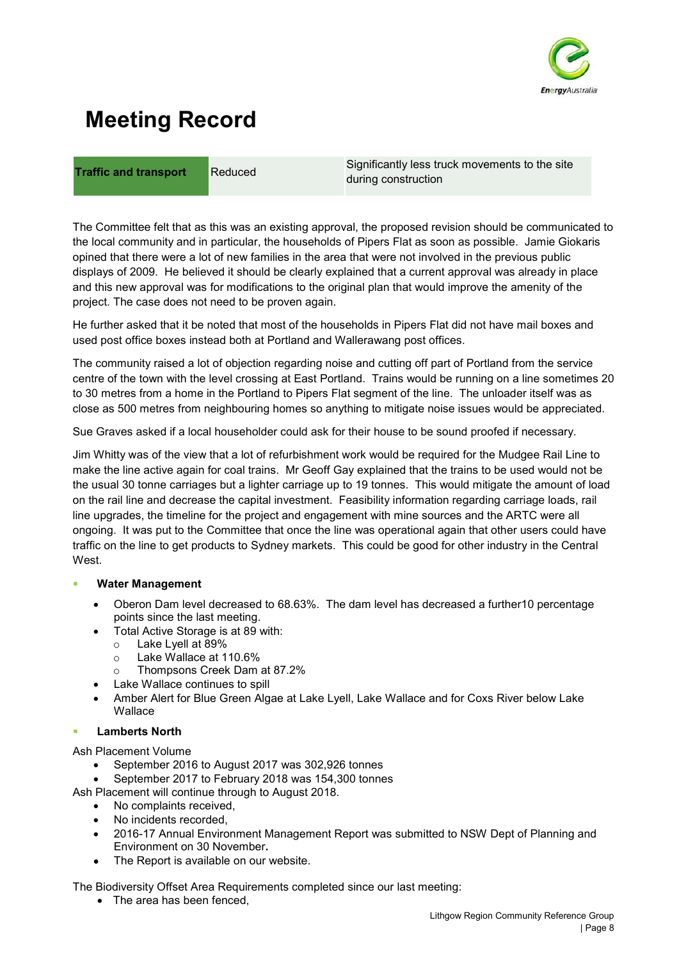

**Traffic and transport** Reduced Significantly less truck movements to the site during construction

The Committee felt that as this was an existing approval, the proposed revision should be communicated to the local community and in particular, the households of Pipers Flat as soon as possible. Jamie Giokaris opined that there were a lot of new families in the area that were not involved in the previous public displays of 2009. He believed it should be clearly explained that a current approval was already in place and this new approval was for modifications to the original plan that would improve the amenity of the project. The case does not need to be proven again.

He further asked that it be noted that most of the households in Pipers Flat did not have mail boxes and used post office boxes instead both at Portland and Wallerawang post offices.

The community raised a lot of objection regarding noise and cutting off part of Portland from the service centre of the town with the level crossing at East Portland. Trains would be running on a line sometimes 20 to 30 metres from a home in the Portland to Pipers Flat segment of the line. The unloader itself was as close as 500 metres from neighbouring homes so anything to mitigate noise issues would be appreciated.

Sue Graves asked if a local householder could ask for their house to be sound proofed if necessary.

Jim Whitty was of the view that a lot of refurbishment work would be required for the Mudgee Rail Line to make the line active again for coal trains. Mr Geoff Gay explained that the trains to be used would not be the usual 30 tonne carriages but a lighter carriage up to 19 tonnes. This would mitigate the amount of load on the rail line and decrease the capital investment. Feasibility information regarding carriage loads, rail line upgrades, the timeline for the project and engagement with mine sources and the ARTC were all ongoing. It was put to the Committee that once the line was operational again that other users could have traffic on the line to get products to Sydney markets. This could be good for other industry in the Central **West** 

### **Water Management**

- Oberon Dam level decreased to 68.63%. The dam level has decreased a further10 percentage points since the last meeting.
- Total Active Storage is at 89 with:
	- o Lake Lyell at 89%
	- o Lake Wallace at 110.6%
	- Thompsons Creek Dam at 87.2%
- Lake Wallace continues to spill
- Amber Alert for Blue Green Algae at Lake Lyell, Lake Wallace and for Coxs River below Lake Wallace

### **Lamberts North**

Ash Placement Volume

- September 2016 to August 2017 was 302,926 tonnes
- September 2017 to February 2018 was 154,300 tonnes

Ash Placement will continue through to August 2018.

- No complaints received.
- No incidents recorded.
- 2016-17 Annual Environment Management Report was submitted to NSW Dept of Planning and Environment on 30 November**.**
- The Report is available on our website.

The Biodiversity Offset Area Requirements completed since our last meeting:

• The area has been fenced,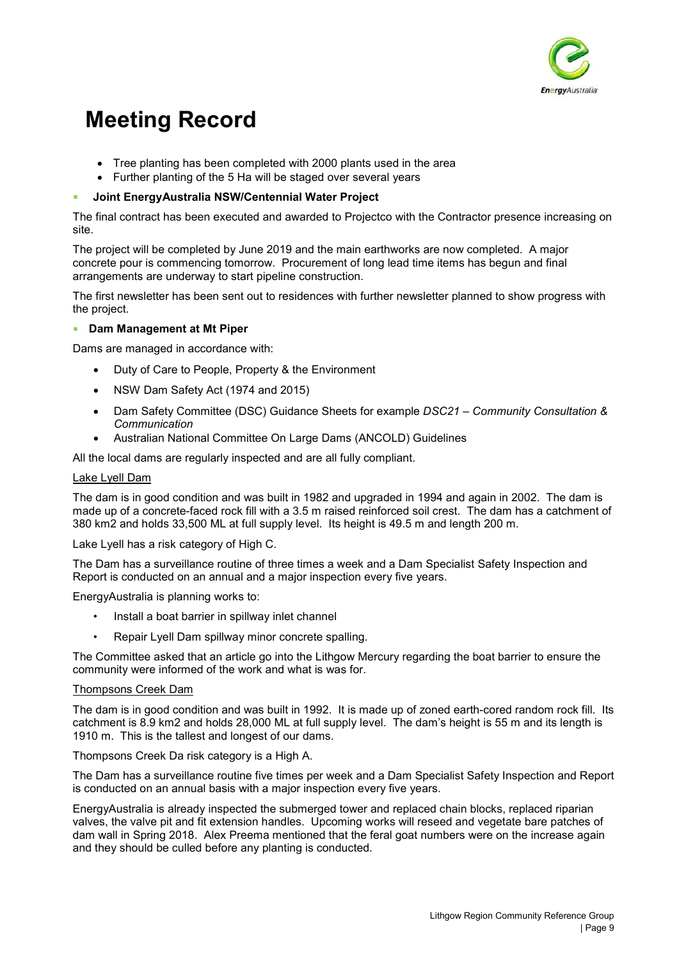

- Tree planting has been completed with 2000 plants used in the area
- Further planting of the 5 Ha will be staged over several years

### **Joint EnergyAustralia NSW/Centennial Water Project**

The final contract has been executed and awarded to Projectco with the Contractor presence increasing on site.

The project will be completed by June 2019 and the main earthworks are now completed. A major concrete pour is commencing tomorrow. Procurement of long lead time items has begun and final arrangements are underway to start pipeline construction.

The first newsletter has been sent out to residences with further newsletter planned to show progress with the project.

### **Dam Management at Mt Piper**

Dams are managed in accordance with:

- Duty of Care to People, Property & the Environment
- NSW Dam Safety Act (1974 and 2015)
- Dam Safety Committee (DSC) Guidance Sheets for example *DSC21 Community Consultation & Communication*
- Australian National Committee On Large Dams (ANCOLD) Guidelines

All the local dams are regularly inspected and are all fully compliant.

#### Lake Lyell Dam

The dam is in good condition and was built in 1982 and upgraded in 1994 and again in 2002. The dam is made up of a concrete-faced rock fill with a 3.5 m raised reinforced soil crest. The dam has a catchment of 380 km2 and holds 33,500 ML at full supply level. Its height is 49.5 m and length 200 m.

Lake Lyell has a risk category of High C.

The Dam has a surveillance routine of three times a week and a Dam Specialist Safety Inspection and Report is conducted on an annual and a major inspection every five years.

EnergyAustralia is planning works to:

- Install a boat barrier in spillway inlet channel
- Repair Lyell Dam spillway minor concrete spalling.

The Committee asked that an article go into the Lithgow Mercury regarding the boat barrier to ensure the community were informed of the work and what is was for.

#### Thompsons Creek Dam

The dam is in good condition and was built in 1992. It is made up of zoned earth-cored random rock fill. Its catchment is 8.9 km2 and holds 28,000 ML at full supply level. The dam's height is 55 m and its length is 1910 m. This is the tallest and longest of our dams.

Thompsons Creek Da risk category is a High A.

The Dam has a surveillance routine five times per week and a Dam Specialist Safety Inspection and Report is conducted on an annual basis with a major inspection every five years.

EnergyAustralia is already inspected the submerged tower and replaced chain blocks, replaced riparian valves, the valve pit and fit extension handles. Upcoming works will reseed and vegetate bare patches of dam wall in Spring 2018. Alex Preema mentioned that the feral goat numbers were on the increase again and they should be culled before any planting is conducted.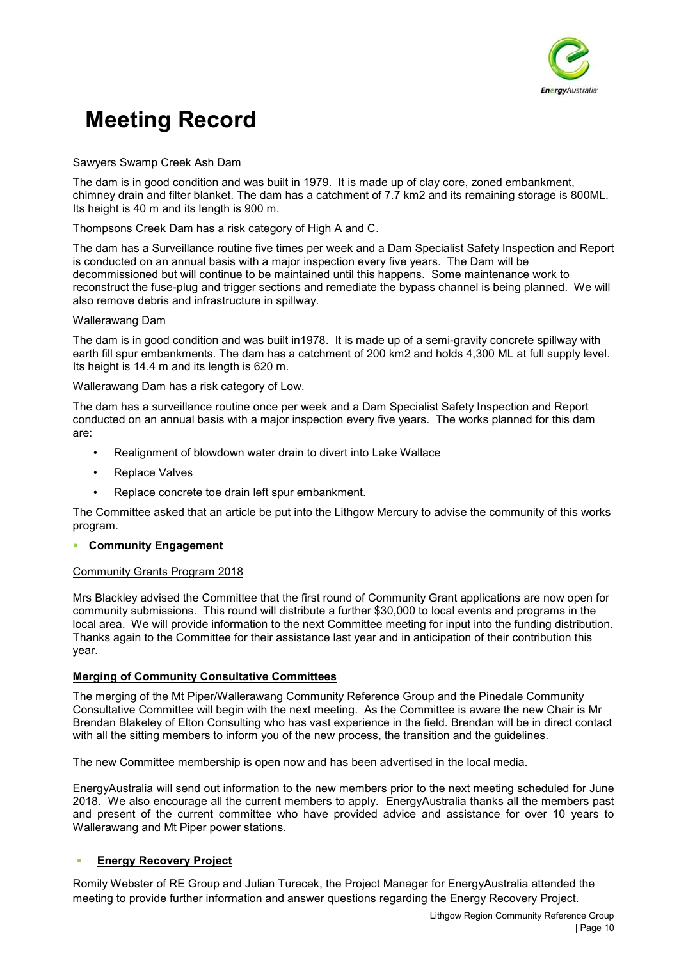

#### Sawyers Swamp Creek Ash Dam

The dam is in good condition and was built in 1979. It is made up of clay core, zoned embankment, chimney drain and filter blanket. The dam has a catchment of 7.7 km2 and its remaining storage is 800ML. Its height is 40 m and its length is 900 m.

Thompsons Creek Dam has a risk category of High A and C.

The dam has a Surveillance routine five times per week and a Dam Specialist Safety Inspection and Report is conducted on an annual basis with a major inspection every five years. The Dam will be decommissioned but will continue to be maintained until this happens. Some maintenance work to reconstruct the fuse-plug and trigger sections and remediate the bypass channel is being planned. We will also remove debris and infrastructure in spillway.

#### Wallerawang Dam

The dam is in good condition and was built in1978. It is made up of a semi-gravity concrete spillway with earth fill spur embankments. The dam has a catchment of 200 km2 and holds 4,300 ML at full supply level. Its height is 14.4 m and its length is 620 m.

Wallerawang Dam has a risk category of Low.

The dam has a surveillance routine once per week and a Dam Specialist Safety Inspection and Report conducted on an annual basis with a major inspection every five years. The works planned for this dam are:

- Realignment of blowdown water drain to divert into Lake Wallace
- Replace Valves
- Replace concrete toe drain left spur embankment.

The Committee asked that an article be put into the Lithgow Mercury to advise the community of this works program.

### **Community Engagement**

#### Community Grants Program 2018

Mrs Blackley advised the Committee that the first round of Community Grant applications are now open for community submissions. This round will distribute a further \$30,000 to local events and programs in the local area. We will provide information to the next Committee meeting for input into the funding distribution. Thanks again to the Committee for their assistance last year and in anticipation of their contribution this year.

### **Merging of Community Consultative Committees**

The merging of the Mt Piper/Wallerawang Community Reference Group and the Pinedale Community Consultative Committee will begin with the next meeting. As the Committee is aware the new Chair is Mr Brendan Blakeley of Elton Consulting who has vast experience in the field. Brendan will be in direct contact with all the sitting members to inform you of the new process, the transition and the guidelines.

The new Committee membership is open now and has been advertised in the local media.

EnergyAustralia will send out information to the new members prior to the next meeting scheduled for June 2018. We also encourage all the current members to apply. EnergyAustralia thanks all the members past and present of the current committee who have provided advice and assistance for over 10 years to Wallerawang and Mt Piper power stations.

### **Energy Recovery Project**

Romily Webster of RE Group and Julian Turecek, the Project Manager for EnergyAustralia attended the meeting to provide further information and answer questions regarding the Energy Recovery Project.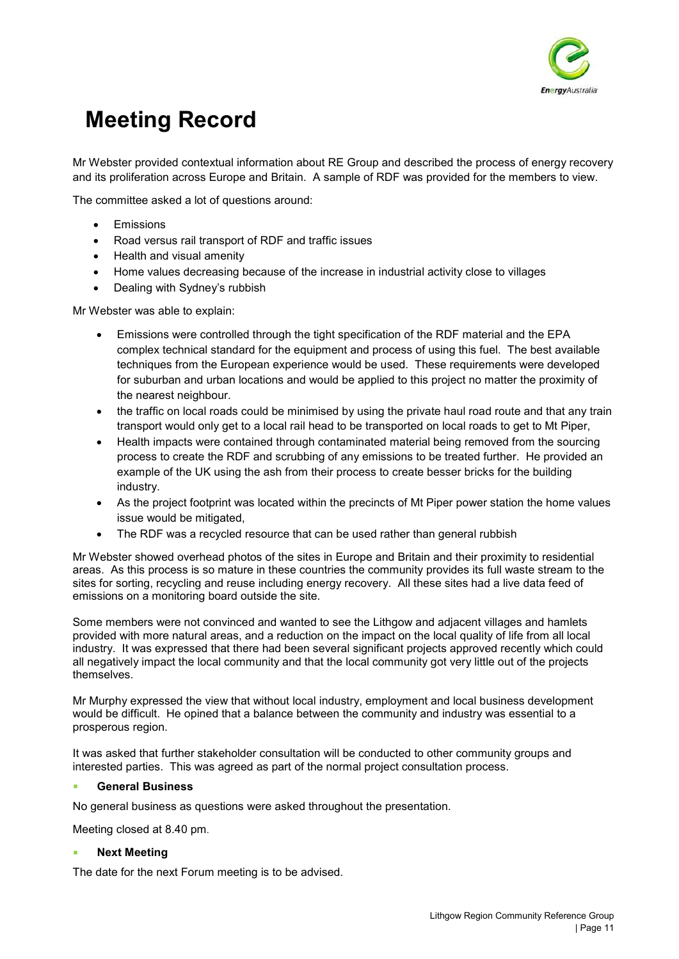

Mr Webster provided contextual information about RE Group and described the process of energy recovery and its proliferation across Europe and Britain. A sample of RDF was provided for the members to view.

The committee asked a lot of questions around:

- **Fmissions**
- Road versus rail transport of RDF and traffic issues
- Health and visual amenity
- Home values decreasing because of the increase in industrial activity close to villages
- Dealing with Sydney's rubbish

Mr Webster was able to explain:

- Emissions were controlled through the tight specification of the RDF material and the EPA complex technical standard for the equipment and process of using this fuel. The best available techniques from the European experience would be used. These requirements were developed for suburban and urban locations and would be applied to this project no matter the proximity of the nearest neighbour.
- the traffic on local roads could be minimised by using the private haul road route and that any train transport would only get to a local rail head to be transported on local roads to get to Mt Piper,
- Health impacts were contained through contaminated material being removed from the sourcing process to create the RDF and scrubbing of any emissions to be treated further. He provided an example of the UK using the ash from their process to create besser bricks for the building industry.
- As the project footprint was located within the precincts of Mt Piper power station the home values issue would be mitigated,
- The RDF was a recycled resource that can be used rather than general rubbish

Mr Webster showed overhead photos of the sites in Europe and Britain and their proximity to residential areas. As this process is so mature in these countries the community provides its full waste stream to the sites for sorting, recycling and reuse including energy recovery. All these sites had a live data feed of emissions on a monitoring board outside the site.

Some members were not convinced and wanted to see the Lithgow and adjacent villages and hamlets provided with more natural areas, and a reduction on the impact on the local quality of life from all local industry. It was expressed that there had been several significant projects approved recently which could all negatively impact the local community and that the local community got very little out of the projects themselves.

Mr Murphy expressed the view that without local industry, employment and local business development would be difficult. He opined that a balance between the community and industry was essential to a prosperous region.

It was asked that further stakeholder consultation will be conducted to other community groups and interested parties. This was agreed as part of the normal project consultation process.

### **General Business**

No general business as questions were asked throughout the presentation.

Meeting closed at 8.40 pm.

#### **Next Meeting**

The date for the next Forum meeting is to be advised.